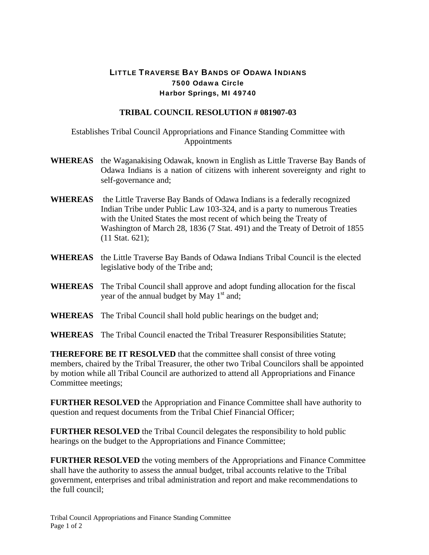## LITTLE TRAVERSE BAY BANDS OF ODAWA INDIANS 7500 Odawa Circle Harbor Springs, MI 49740

## **TRIBAL COUNCIL RESOLUTION # 081907-03**

Establishes Tribal Council Appropriations and Finance Standing Committee with Appointments

- **WHEREAS** the Waganakising Odawak, known in English as Little Traverse Bay Bands of Odawa Indians is a nation of citizens with inherent sovereignty and right to self-governance and;
- **WHEREAS** the Little Traverse Bay Bands of Odawa Indians is a federally recognized Indian Tribe under Public Law 103-324, and is a party to numerous Treaties with the United States the most recent of which being the Treaty of Washington of March 28, 1836 (7 Stat. 491) and the Treaty of Detroit of 1855 (11 Stat. 621);
- **WHEREAS** the Little Traverse Bay Bands of Odawa Indians Tribal Council is the elected legislative body of the Tribe and;
- **WHEREAS** The Tribal Council shall approve and adopt funding allocation for the fiscal year of the annual budget by May  $1<sup>st</sup>$  and;
- **WHEREAS** The Tribal Council shall hold public hearings on the budget and;
- **WHEREAS** The Tribal Council enacted the Tribal Treasurer Responsibilities Statute;

**THEREFORE BE IT RESOLVED** that the committee shall consist of three voting members, chaired by the Tribal Treasurer, the other two Tribal Councilors shall be appointed by motion while all Tribal Council are authorized to attend all Appropriations and Finance Committee meetings;

**FURTHER RESOLVED** the Appropriation and Finance Committee shall have authority to question and request documents from the Tribal Chief Financial Officer;

**FURTHER RESOLVED** the Tribal Council delegates the responsibility to hold public hearings on the budget to the Appropriations and Finance Committee;

**FURTHER RESOLVED** the voting members of the Appropriations and Finance Committee shall have the authority to assess the annual budget, tribal accounts relative to the Tribal government, enterprises and tribal administration and report and make recommendations to the full council;